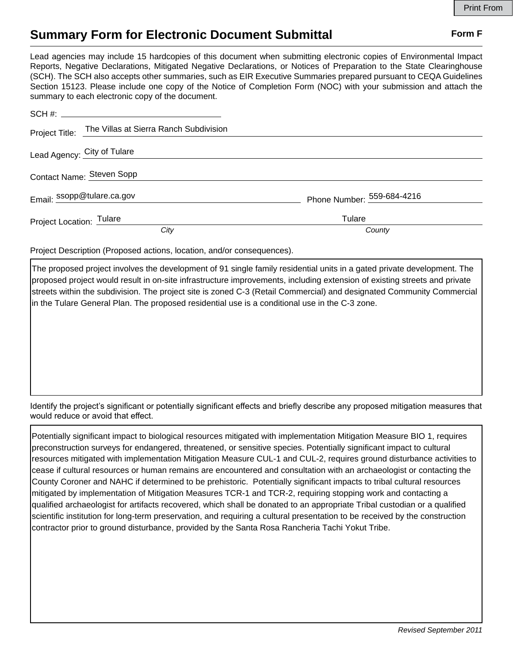## **Summary Form for Electronic Document Submittal Form F Form F**

Lead agencies may include 15 hardcopies of this document when submitting electronic copies of Environmental Impact Reports, Negative Declarations, Mitigated Negative Declarations, or Notices of Preparation to the State Clearinghouse (SCH). The SCH also accepts other summaries, such as EIR Executive Summaries prepared pursuant to CEQA Guidelines Section 15123. Please include one copy of the Notice of Completion Form (NOC) with your submission and attach the summary to each electronic copy of the document.

|                          | Project Title: The Villas at Sierra Ranch Subdivision |                            |  |
|--------------------------|-------------------------------------------------------|----------------------------|--|
|                          | Lead Agency: City of Tulare                           |                            |  |
|                          | Contact Name: Steven Sopp                             |                            |  |
|                          | Email: ssopp@tulare.ca.gov                            | Phone Number: 559-684-4216 |  |
| Project Location: Tulare |                                                       | Tulare                     |  |
|                          | City                                                  | County                     |  |

Project Description (Proposed actions, location, and/or consequences).

The proposed project involves the development of 91 single family residential units in a gated private development. The proposed project would result in on-site infrastructure improvements, including extension of existing streets and private streets within the subdivision. The project site is zoned C-3 (Retail Commercial) and designated Community Commercial in the Tulare General Plan. The proposed residential use is a conditional use in the C-3 zone.

Identify the project's significant or potentially significant effects and briefly describe any proposed mitigation measures that would reduce or avoid that effect.

Potentially significant impact to biological resources mitigated with implementation Mitigation Measure BIO 1, requires preconstruction surveys for endangered, threatened, or sensitive species. Potentially significant impact to cultural resources mitigated with implementation Mitigation Measure CUL-1 and CUL-2, requires ground disturbance activities to cease if cultural resources or human remains are encountered and consultation with an archaeologist or contacting the County Coroner and NAHC if determined to be prehistoric. Potentially significant impacts to tribal cultural resources mitigated by implementation of Mitigation Measures TCR-1 and TCR-2, requiring stopping work and contacting a qualified archaeologist for artifacts recovered, which shall be donated to an appropriate Tribal custodian or a qualified scientific institution for long-term preservation, and requiring a cultural presentation to be received by the construction contractor prior to ground disturbance, provided by the Santa Rosa Rancheria Tachi Yokut Tribe.